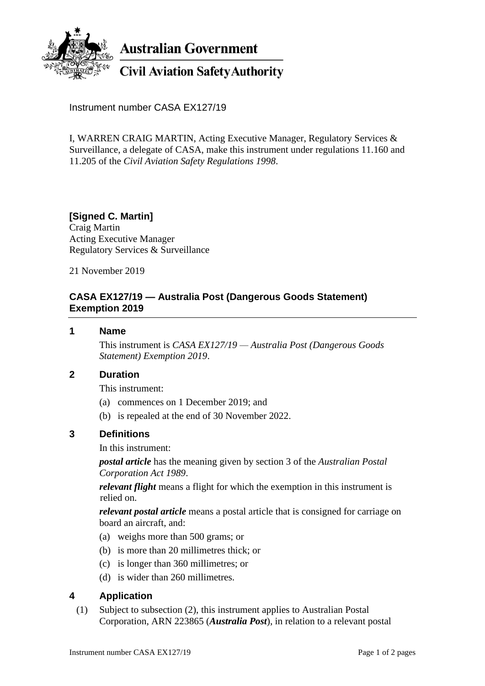

**Australian Government** 

# **Civil Aviation Safety Authority**

Instrument number CASA EX127/19

I, WARREN CRAIG MARTIN, Acting Executive Manager, Regulatory Services & Surveillance, a delegate of CASA, make this instrument under regulations 11.160 and 11.205 of the *Civil Aviation Safety Regulations 1998*.

# **[Signed C. Martin]**

Craig Martin Acting Executive Manager Regulatory Services & Surveillance

21 November 2019

# **CASA EX127/19 — Australia Post (Dangerous Goods Statement) Exemption 2019**

#### **1 Name**

This instrument is *CASA EX127/19 — Australia Post (Dangerous Goods Statement) Exemption 2019*.

#### **2 Duration**

This instrument:

- (a) commences on 1 December 2019; and
- (b) is repealed at the end of 30 November 2022.

#### **3 Definitions**

In this instrument:

*postal article* has the meaning given by section 3 of the *Australian Postal Corporation Act 1989*.

*relevant flight* means a flight for which the exemption in this instrument is relied on.

*relevant postal article* means a postal article that is consigned for carriage on board an aircraft, and:

- (a) weighs more than 500 grams; or
- (b) is more than 20 millimetres thick; or
- (c) is longer than 360 millimetres; or
- (d) is wider than 260 millimetres.

# **4 Application**

(1) Subject to subsection (2), this instrument applies to Australian Postal Corporation, ARN 223865 (*Australia Post*), in relation to a relevant postal